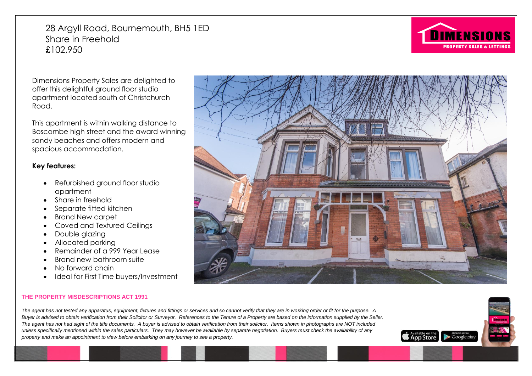28 Argyll Road, Bournemouth, BH5 1ED Share in Freehold £102,950



Dimensions Property Sales are delighted to offer this delightful ground floor studio apartment located south of Christchurch Road.

This apartment is within walking distance to Boscombe high street and the award winning sandy beaches and offers modern and spacious accommodation.

# **Key features:**

- Refurbished ground floor studio apartment
- Share in freehold
- Separate fitted kitchen
- Brand New carpet
- Coved and Textured Ceilings
- Double glazing
- Allocated parking
- Remainder of a 999 Year Lease
- Brand new bathroom suite
- No forward chain
- Ideal for First Time buyers/Investment

#### **THE PROPERTY MISDESCRIPTIONS ACT 1991**

*The agent has not tested any apparatus, equipment, fixtures and fittings or services and so cannot verify that they are in working order or fit for the purpose. A Buyer is advised to obtain verification from their Solicitor or Surveyor. References to the Tenure of a Property are based on the information supplied by the Seller. The agent has not had sight of the title documents. A buyer is advised to obtain verification from their solicitor. Items shown in photographs are NOT included unless specifically mentioned within the sales particulars. They may however be available by separate negotiation. Buyers must check the availability of any property and make an appointment to view before embarking on any journey to see a property.*